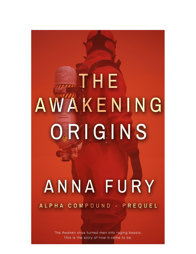# THE AWAKENING ORIGINS ANNA FURY

# ALPHA COMPOUND - PREQUEL

The Awaken virus turned men into raging beasts. This is the story of how it came to be.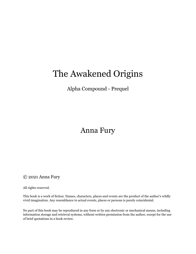# The Awakened Origins

## Alpha Compound - Prequel

# Anna Fury

## © 2021 Anna Fury

All rights reserved.

This book is a work of fiction. Names, characters, places and events are the product of the author's wildly vivid imagination. Any resemblance to actual events, places or persons is purely coincidental.

No part of this book may be reproduced in any form or by any electronic or mechanical means, including information storage and retrieval systems, without written permission from the author, except for the use of brief quotations in a book review.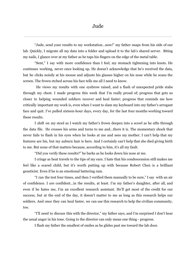"Jude, send your results to my workstation…now!" my father snaps from his side of our lab. Quickly, I migrate all my data into a folder and upload it to the lab's shared server. Biting my nails, I glance over at my father as he taps his fingers on the edge of the metal table.

"Sent," I say with more confidence than I feel, my stomach tightening into knots. He continues working, never once looking up. He doesn't acknowledge that he's received the data, but he clicks noisily at his mouse and adjusts his glasses higher on his nose while he scans the screen. The frown etched across his face tells me all I need to know.

He views my results with one eyebrow raised, and a flash of unexpected pride stabs through my chest. I made progress this week that I'm really proud of; progress that gets us closer to helping wounded soldiers recover and heal faster; progress that reminds me how critically important my work is, even when I want to slam my keyboard into my father's arrogant face and quit. I've pulled sixteen-hour days, every day, for the last four months working toward these results.

I shift on my stool as I watch my father's frown deepen into a scowl as he sifts through the data file. He crosses his arms and turns to me and...there it is. The momentary shock that never fails to flash in his eyes when he looks at me and sees my mother. I can't help that my features are his, but my auburn hair is hers. And I certainly can't help that she died giving birth to me. But none of that matters because, according to him, it's all my fault.

"Did you verify these results?" he barks as he looks down his nose at me.

I cringe as heat travels to the tips of my ears. I hate that his condescension still makes me feel like a scared child, but it's worth putting up with because Robert Chen is a brilliant geneticist. Even if he is an emotional battering ram.

"I ran the test four times, and then I verified them manually to be sure," I say with an air of confidence. I *am* confident…in the results, at least. I'm my father's daughter, after all, and even if he hates me, I'm an excellent research assistant. He'll get most of the credit for our success, but at the end of the day, it doesn't matter to me as long as this research helps our soldiers. And once they can heal faster, we can use this research to help the civilian community, too.

"I'll need to discuss this with the director," my father says, and I'm surprised I don't hear the usual anger in his tone. Going to the director can only mean one thing - progress.

I flash my father the smallest of smiles as he glides past me toward the lab door.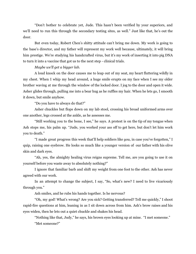"Don't bother to celebrate yet, Jude. This hasn't been verified by your superiors, and we'll need to run this through the secondary testing sites, as well." Just like that, he's out the door.

But even today, Robert Chen's shitty attitude can't bring me down. My work is going to the base's director, and my father will represent my work well because, ultimately, it will bring him prestige. We're studying his handcrafted virus, but it's my work of inserting it into pig DNA to turn it into a vaccine that got us to the next step - clinical trials.

*Maybe we'll get a bigger lab.*

A loud knock on the door causes me to leap out of my seat, my heart fluttering wildly in my chest. When I whip my head around, a huge smile erupts on my face when I see my older brother waving at me through the window of the locked door. I jog to the door and open it wide. Asher glides through, pulling me into a bear hug as he ruffles my hair. When he lets go, I smooth it down, but smile anyhow.

"Do you have to always do that?"

Asher chuckles but flops down on my lab stool, crossing his broad uniformed arms over one another, legs crossed at the ankle, as he assesses me.

"Still working you to the bone, I see," he says. A protest is on the tip of my tongue when Ash stops me, his palm up. "Jude, you worked your ass off to get here, but don't let him work you to death."

"I made great progress this week that'll help soldiers like *you,* in case you've forgotten," I quip, raising one eyebrow. He looks so much like a younger version of our father with his olive skin and dark eyes.

"Ah, yes, the almighty healing virus reigns supreme. Tell me, are you going to use it on yourself before you waste away to absolutely nothing?"

I ignore that familiar barb and shift my weight from one foot to the other. Ash has never agreed with our work.

In an attempt to change the subject, I say, "So, what's new? I need to live vicariously through you."

Ash smiles, and he rubs his hands together. Is he nervous?

"Oh, my god! What's wrong? Are you sick? Getting transferred? Tell me quickly," I shoot rapid-fire questions at him, leaning in as I sit down across from him. Ash's brow raises and his eyes widen, then he lets out a quiet chuckle and shakes his head.

"Nothing like that, Judy," he says, his brown eyes looking up at mine. "I met someone." "Met someone?"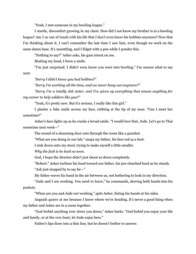"Yeah, I met someone in my bowling league."

I startle, discomfort growing in my chest. How did I not know my brother is in a bowling league? Am I so out of touch with his life that I don't even know his hobbies anymore? Now that I'm thinking about it, I can't remember the last time I saw him, even though we work on the same damn base. It's unsettling, and I fidget with a pen while I ponder this.

"Nothing to say?" Asher asks, his gaze intent on me.

Shaking my head, I force a smile.

"I'm just surprised. I didn't even know you were into bowling." I'm unsure what to say next.

*"Sorry I didn't know you had hobbies?"*

*"Sorry I'm working all the time, and we never hang out anymore?"*

*"Sorry I'm a totally shit sister, and I've given up everything that means anything for my career to help soldiers like you?"*

"Yeah, it's pretty new. But it's serious. I really like this girl."

I plaster a fake smile across my face, rubbing at the tip of my nose. "Can I meet her sometime?"

Asher's face lights up as he cracks a broad smile. "I would love that, Jude. Let's go to Thai sometime next week—"

The sound of a slamming door cuts through the room like a gunshot.

"What are you doing in our lab," snaps my father, his face red as a beet.

I sink down onto my stool, trying to make myself a little smaller.

*Why the fuck is he back so soon.*

God, I hope the director didn't just shoot us down completely.

"Robert." Asher inclines his head toward our father, his jaw clenched hard as he stands. "Ash just stopped by to say he—"

My father waves his hand in the air between us, not bothering to look in my direction.

"Jude and I are working. You need to leave," he commands, shoving both hands into his pockets.

"When are you and Jude *not* working," spits Asher, fisting his hands at his sides.

Anguish gnaws at me because I know where we're heading. It's never a good thing when my father and Asher are in a room together.

"God forbid anything ever slows you down," Asher barks. "God forbid you enjoy your life and family, or at the very least, let Jude enjoy hers."

Father's lips draw into a thin line, but he doesn't bother to answer.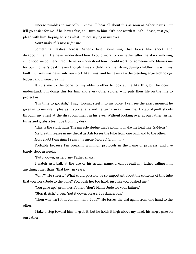Unease rumbles in my belly. I know I'll hear all about this as soon as Asher leaves. But it'll go easier for me if he leaves fast, so I turn to him. "It's not worth it, Ash. Please, just go," I plead with him, hoping he sees what I'm not saying in my eyes.

#### *Don't make this worse for me*.

Something flashes across Asher's face; something that looks like shock and disappointment. He never understood how I could work for our father after the stark, unloving childhood we both endured. He never understood how I could work for someone who blames me for our mother's death, even though I was a child, and her dying during childbirth wasn't my fault. But Ash was never into our work like I was, and he never saw the bleeding edge technology Robert and I were creating.

It cuts me to the bone for my older brother to look at me like this, but he doesn't understand. I'm doing this for him and every other soldier who puts their life on the line to protect us.

"It's time to go, Ash," I say, forcing steel into my voice. I can see the exact moment he gives in to my silent plea as his gaze falls and he turns away from me. A stab of guilt shoots through my chest at the disappointment in his eyes. Without looking over at our father, Asher turns and grabs a test tube from my desk.

"This is the stuff, huh? The miracle sludge that's going to make me heal like X-Men?"

My breath freezes in my throat as Ash tosses the tube from one big hand to the other.

*Holy fuck! Why didn't I put this away before I let him in?*

Probably because I'm breaking a million protocols in the name of progress, and I've barely slept in weeks.

"Put it down, Asher," my Father snaps.

I watch Ash balk at the use of his actual name. I can't recall my father calling him anything other than "that boy" in years.

"Why?" He sneers. "What could possibly be so important about the contents of this tube that you work Jude to the bone? You push her too hard, just like you pushed me."

"You gave up," grumbles Father, "don't blame Jude for your failure."

"Stop it, Ash," I beg, "put it down, please. It's dangerous."

"Then why isn't it in containment, Jude?" He tosses the vial again from one hand to the other.

I take a step toward him to grab it, but he holds it high above my head, his angry gaze on our father.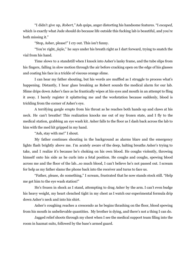"I didn't give up, *Robert,"* Ash quips, anger distorting his handsome features. "I *escaped,* which is exactly what Jude should do because life outside this fucking lab is beautiful, and you're both missing it."

"Stop, Asher, please!" I cry out. This isn't funny.

"You're right, *jiejie*," he says under his breath right as I dart forward, trying to snatch the vial from his hand.

Time slows to a standstill when I knock into Asher's lanky frame, and the tube slips from his fingers, falling in slow motion through the air before cracking open on the edge of his glasses and coating his face in a trickle of viscous orange slime.

I can hear my father shouting, but his words are muffled as I struggle to process what's happening. Distantly, I hear glass breaking as Robert sounds the medical alarm for our lab. Slime drips down Asher's face as he frantically wipes at his eyes and mouth in an attempt to fling it away. I barely register it splattering me and the workstation because suddenly, blood is trickling from the corner of Asher's eye.

A terrifying gargle erupts from his throat as he reaches both hands up and claws at his neck. He can't breathe! This realization knocks me out of my frozen state, and I fly to the medical station, grabbing an eye wash kit. Asher falls to the floor as I dash back across the lab to him with the med kit gripped in my hand.

"Ash, stay with me!" I shout.

My father continues shouting in the background as alarms blare and the emergency lights flash brightly above me. I'm acutely aware of the deep, halting breaths Asher's trying to take, and I realize it's because he's choking on his own blood. He coughs violently, throwing himself onto his side as he curls into a fetal position. He coughs and coughs, spewing blood across me and the floor of the lab…so much blood, I can't believe he's not passed out. I scream for help as my father slams the phone back into the receiver and turns to face us.

"Father, please, do something," I scream, frustrated that he now stands stock still. "Help me get him to the eye wash station!"

He's frozen in shock as I stand, attempting to drag Asher by the arm. I can't even budge his heavy weight, my heart clenched tight in my chest as I watch our experimental formula drip down Asher's neck and into his shirt.

Asher's coughing reaches a crescendo as he begins thrashing on the floor, blood spewing from his mouth in unbelievable quantities. My brother is dying, and there's not a thing I can do.

Jagged relief shoots through my chest when I see the medical support team filing into the room in hazmat suits, followed by the base's armed guard.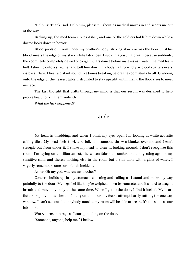"Help us! Thank God. Help him, please!" I shout as medical moves in and scoots me out of the way.

Backing up, the med team circles Asher, and one of the soldiers holds him down while a doctor looks down in horror.

Blood pools out from under my brother's body, slicking slowly across the floor until his blood meets the edge of my stark white lab shoes. I suck in a gasping breath because suddenly, the room feels completely devoid of oxygen. Stars dance before my eyes as I watch the med team heft Asher up onto a stretcher and belt him down, his body flailing wildly as blood spatters every visible surface. I hear a distant sound like bones breaking before the room starts to tilt. Grabbing onto the edge of the nearest table, I struggled to stay upright, until finally, the floor rises to meet my face.

The last thought that drifts through my mind is that our serum was designed to help people heal, not kill them violently.

*What the fuck happened?*

## Jude

My head is throbbing, and when I blink my eyes open I'm looking at white acoustic ceiling tiles. My head feels thick and full, like someone threw a blanket over me and I can't struggle out from under it. I shake my head to clear it, looking around. I don't recognize this room. I'm laying on a utilitarian cot, the woven fabric uncomfortable and grating against my sensitive skin, and there's nothing else in the room but a side table with a glass of water. I vaguely remember some sort of...lab incident.

Asher. Oh my god, where's my brother?

Concern builds up in my stomach, churning and roiling as I stand and make my way painfully to the door. My legs feel like they're weighed down by concrete, and it's hard to drag in breath and move my body at the same time. When I get to the door, I find it locked. My heart flutters rapidly in my chest as I bang on the door, my feeble attempt barely rattling the one way window. I can't see out, but anybody outside my room will be able to see in. It's the same as our lab doors.

Worry turns into rage as I start pounding on the door.

"Someone, anyone, help me," I bellow.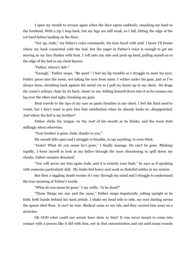I open my mouth to scream again when the door opens suddenly, smacking me hard in the forehead. With a yip I leap back, but my legs are still weak, so I fall, hitting the edge of the cot hard before landing on the floor.

"Get up, Jude," my father's voice commands, his tone laced with acid. I know I'll bruise where my back connected with the bed, but the anger in Father's voice is enough to get me moving as my face flushes with heat. I roll onto my side and push up hard, pulling myself on to the edge of the bed as my chest heaves.

"Father, where's Ash-"

"Enough," Father snaps. "Be quiet." I feel my lip tremble as I struggle to meet his eyes. Father paces into the room, not taking his eyes from mine. I wither under his gaze, just as I've always done, shrinking back against the metal cot as I pull my knees up to my chest. He drags the room's solitary chair by its back, closer to me, folding himself down into it as he crosses one leg over the other and sighs, breaking my gaze.

Heat travels to the tips of my ears as panic thrashes in my chest. I feel the faint need to vomit, but I don't want to give him that satisfaction when he already looks so...disappointed. And where the hell is my brother?

Father clicks his tongue on the roof of his mouth as he thinks, and the room feels stiflingly silent otherwise.

"Your brother is gone, Jude, thanks to you."

My mouth falls open and I struggle to breathe, to say anything, to even *think*.

"Gone? What do you mean he's gone," I finally manage. He can't be gone. Blinking rapidly, I force myself to look at my father through the tears threatening to spill down my cheeks. Father remains detached.

"You will never see him again Jude, and it is entirely your fault," he says as if speaking with someone particularly dull. My limbs feel heavy and weak as disbelief settles in my system.

But then a niggling doubt worms it's way through my mind and I struggle to understand the true meaning of Father's words.

"What do you mean by gone," I say softly. "Is he dead?"

"Those things are one and the same," Father snaps impatiently, jolting upright as he folds both hands behind his back primly. I shake my head side to side, my eyes darting across the sparse tiled floor. It can't be true. Medical came to our lab, and they carried him away on a stretcher.

Oh GOD what could our serum have done to him? It was never meant to come into contact with a person like it did with him, not in that concentration and not until many rounds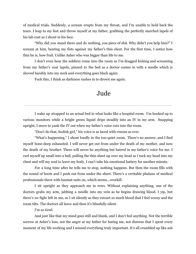of medical trials. Suddenly, a scream erupts from my throat, and I'm unable to hold back the tears. I leap to my feet and throw myself at my father, grabbing the perfectly starched lapels of his lab coat as I shout in his face.

"Why did you stand there and do nothing, you piece of shit. Why didn't you help him?" I scream at him, beating my fists against my father's thin chest. For the first time, I notice how thin he is, how frail. Unlike Asher who was bigger than life to me.

I don't even hear the soldiers come into the room as I'm dragged kicking and screaming from my father's coat lapels, pinned to the bed as a doctor comes in with a needle which is shoved harshly into my neck and everything goes black again.

Fuck this, I think as darkness rushes in to drown me again.

# Jude

I wake up strapped to an actual bed in what looks like a hospital room. I'm hooked up to various monitors while a bright green liquid drips steadily into an IV in my arm. Snapping upright, I move to yank the IV out when my father's voice cuts into the room.

"Don't do that, foolish girl," his voice is as laced with venom as ever.

"What's happening," I shout loudly in the too-quiet room. There's no answer, and I find myself bone-deep exhausted. I will never get out from under the death of my mother, and now the death of my brother. There will never be anything but hatred in my father's voice for me. I curl myself up small into a ball, pulling the thin sheet up over my head as I tuck my head into my chest and will my soul to leave my body. I can't take his emotional battery for another minute.

For a long time after he tells me to stop, nothing happens. But then the room fills with the sound of boots and I peek out from under the sheet. There's a veritable phalanx of medical professionals there with hazmat suits on, which seems...overkill.

I sit upright as they approach me in rows. Without explaining anything, one of the doctors grabs my arm, jabbing a needle into my vein as he begins drawing blood. I yip, but there's no fight left in me, so I sit silently as they extract so much blood that I feel woozy and the room tilts. The doctors all leave and then it's blissfully silent.

I'm so tired.

And just like that my mind goes still and blank, and I don't feel anything. Not the terrible sorrow at Asher's loss, not the anger at my father for hating me, not distress that I spent every moment of my life working and I missed everything truly important. It's all crumbled up like ash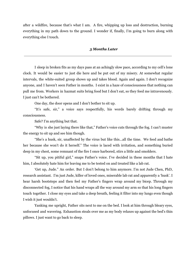after a wildfire, because that's what I am. A fire, whipping up loss and destruction, burning everything in my path down to the ground. I wonder if, finally, I'm going to burn along with everything else I touch.

#### *3 Months Later*

I sleep in broken fits as my days pass at an achingly slow pace, according to my cell's lone clock. It would be easier to just die here and be put out of my misery. At somewhat regular intervals, the white-suited group shows up and takes blood. Again and again. I don't recognize anyone, and I haven't seen Father in months. I exist in a haze of consciousness that nothing can pull me from. Workers in hazmat suits bring food but I don't eat, so they feed me intravenously. I just can't be bothered.

One day, the door opens and I don't bother to sit up.

"It's safe, sir," a voice says respectfully, his words barely drifting through my consciousness.

Safe? I'm anything but that.

"Why is she just laying there like that," Father's voice cuts through the fog. I can't muster the energy to sit up and see him though.

"She's a husk, sir, unaffected by the virus but like this...all the time. We feed and bathe her because she won't do it herself." The voice is laced with irritation, and something buried deep in my chest, some remnant of the fire I once harbored, stirs a little and smolders.

"Sit up, you pitiful girl," snaps Father's voice. I've decided in these months that I hate him, I absolutely hate him for leaving me to be tested on and treated like a lab rat.

'Get up, Jude." An order. But I don't belong to him anymore. I'm not Jude Chen, PhD, research assistant. I'm just Jude, killer of loved ones, miserable lab rat and apparently a 'husk'. I hear harsh bootsteps and then feel my Father's fingers wrap around my bicep. Through my disconnected fog, I notice that his hand wraps all the way around my arm so that his long fingers touch together. I close my eyes and take a deep breath, feeling it filter into my lungs even though I wish it just wouldn't.

Yanking me upright, Father sits next to me on the bed. I look at him through bleary eyes, unfocused and wavering. Exhaustion steals over me as my body relaxes up against the bed's thin pillows. I just want to go back to sleep.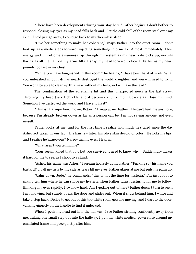"There have been developments during your stay here," Father begins. I don't bother to respond, closing my eyes as my head falls back and I let the cold chill of the room steal over my skin. If he'd just go away, I could go back to my dreamless sleep.

"Give her something to make her coherent," snaps Father into the quiet room. I don't look up as a medic steps forward, injecting something into my IV. Almost immediately, I feel energy and unwelcome awareness zip through my system as my heart rate picks up, nostrils flaring as all the hair on my arms lifts. I snap my head forward to look at Father as my heart pounds too fast in my chest.

"While you have languished in this room," he begins, "I have been hard at work. What you unleashed in our lab has nearly destroyed the world, daughter, and you will need to fix it. You won't be able to clean up this mess without my help, so I will take the lead."

The combination of the adrenaline hit and this unexpected news is the last straw. Throwing my head back I chuckle, and it becomes a full rumbling cackle as I lose my mind. Somehow I've destroyed the world and I have to fix it?

"This isn't a superhero movie, Robert," I snap at my Father. He can't hurt me anymore, because I'm already broken down as far as a person can be. I'm not saving anyone, not even myself.

Father looks at me, and for the first time I realize how much he's aged since the day Asher got taken in our lab. His hair is whiter, his olive skin devoid of color. He licks his lips, and I realize he's...nervous? Narrowing my eyes, I lean in.

"What aren't you telling me?"

"Your serum killed that boy, but you survived. I need to know why." Sudden fury makes it hard for me to see, as I shoot to a stand.

"Asher, his name was Asher," I scream hoarsely at my Father. "Fucking say his name you bastard!" I ball my fists by my side as tears fill my eyes. Father glares at me but puts his palm up.

"Calm down, Jude," he commands, "this is not the time for hysteria." I'm just about to *finally* tell him where he can shove my hysteria when Father turns, gesturing for me to follow. Blinking my eyes rapidly, I swallow hard. Am I getting out of here? Father doesn't turn to see if I'm following, but simply opens the door and glides out. When it shuts behind him, I wince and take a step back. Desire to get out of this too-white room gets me moving, and I dart to the door, yanking gingerly on the handle to find it unlocked.

When I peek my head out into the hallway, I see Father striding confidently away from me. Taking one small step out into the hallway, I pull my white medical gown close around my emaciated frame and pace quietly after him.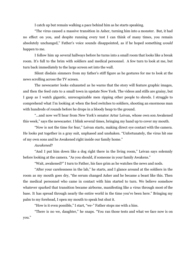I catch up but remain walking a pace behind him as he starts speaking.

"The virus caused a massive transition in Asher, turning him into a monster. But, it had no effect on you, and despite running every test I can think of many times, you remain absolutely unchanged," Father's voice sounds disappointed, as if he hoped something *would* happen to me.

I follow him up several hallways before he turns into a small room that looks like a break room. It's full to the brim with soldiers and medical personnel. A few turn to look at me, but turn back immediately to the large screen set into the wall.

Silent disdain simmers from my father's stiff figure as he gestures for me to look at the news scrolling across the TV screen.

The newscaster looks exhausted as he warns that the story will feature graphic images, and then the feed cuts to a small town in upstate New York. The videos and stills are grainy, but I gasp as I watch gigantic, unrecognizable men ripping other people to shreds. I struggle to comprehend what I'm looking at when the feed switches to soldiers, shooting an enormous man with hundreds of rounds before he drops in a bloody heap to the ground.

"...and now we'll hear from New York's senator Artur Leivan, whose own son Awakened this week," says the newscaster. I blink several times, bringing my hand up to cover my mouth.

"Now is not the time for fear," Leivan starts, making direct eye contact with the camera. He looks put together in a gray suit, unphased and unshaken. "Unfortunately, the virus hit one of my own sons and he Awakened right inside our family home."

#### *Awakened*?

"And I put him down like a dog right there in the living room," Leivan says solemnly before looking at the camera. "As you should, if someone in your family Awakens."

"Wait, awakened?" I turn to Father, his face grim as he watches the news and nods.

"After your carelessness in the lab," he starts, and I glance around at the soldiers in the room as my mouth goes dry, "the serum changed Asher and he became a beast like this. Then the medical personnel who came in contact with him started to turn. We believe somehow whatever sparked that transition became airborne, manifesting like a virus through most of the base. It has spread through nearly the entire world in the time you've been here." Bringing my palm to my forehead, I open my mouth to speak but shut it.

"How is it even possible," I start, "we-" Father stops me with a hiss.

"There is no we, daughter," he snaps. "You ran those tests and what we face now is on you."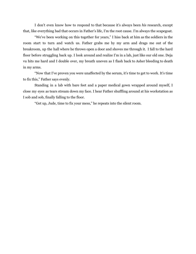I don't even know how to respond to that because it's always been *his* research, except that, like everything bad that occurs in Father's life, I'm the root cause. I'm always the scapegoat.

"We've been working on this together for years," I hiss back at him as the soldiers in the room start to turn and watch us. Father grabs me by my arm and drags me out of the breakroom, up the hall where he throws open a door and shoves me through it. I fall to the hard floor before struggling back up. I look around and realize I'm in a lab, just like our old one. Deja vu hits me hard and I double over, my breath uneven as I flash back to Asher bleeding to death in my arms.

"Now that I've proven you were unaffected by the serum, it's time to get to work. It's time to fix this," Father says evenly.

Standing in a lab with bare feet and a paper medical gown wrapped around myself, I close my eyes as tears stream down my face. I hear Father shuffling around at his workstation as I sob and sob, finally falling to the floor.

"Get up, Jude, time to fix your mess," he repeats into the silent room.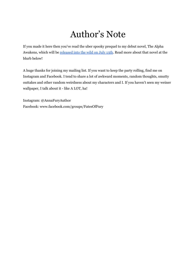# Author's Note

If you made it here then you've read the uber spooky prequel to my debut novel, The Alpha Awakens, which will be [released](https://www.amazon.com/gp/product/B097Q1J4T2?pf_rd_r=HNEQ6Y766GDAX2HRPHVK&pf_rd_p=5ae2c7f8-e0c6-4f35-9071-dc3240e894a8&pd_rd_r=8035a336-2612-4177-bed9-294afdf9c047&pd_rd_w=Peblq&pd_rd_wg=FvMBl&ref_=pd_gw_unk) into the wild on July 13th. Read more about that novel at the blurb below!

A huge thanks for joining my mailing list. If you want to keep the party rolling, find me on Instagram and Facebook. I tend to share a lot of awkward moments, random thoughts, smutty outtakes and other random weirdness about my characters and I. If you haven't seen my weiner wallpaper, I talk about it - like A LOT, ha!

Instagram: @AnnaFuryAuthor Facebook: www.facebook.com/groups/FatesOfFury